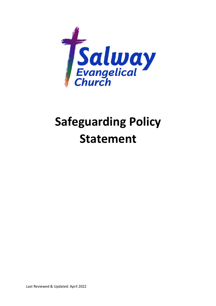

## Safeguarding Policy Statement

Last Reviewed & Updated: April 2022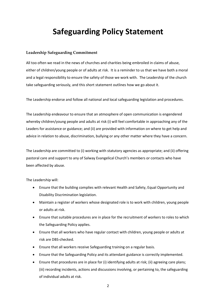## Safeguarding Policy Statement

## Leadership Safeguarding Commitment

All too often we read in the news of churches and charities being embroiled in claims of abuse, either of children/young people or of adults at risk. It is a reminder to us that we have both a moral and a legal responsibility to ensure the safety of those we work with. The Leadership of the church take safeguarding seriously, and this short statement outlines how we go about it.

The Leadership endorse and follow all national and local safeguarding legislation and procedures.

The Leadership endeavour to ensure that an atmosphere of open communication is engendered whereby children/young people and adults at risk (i) will feel comfortable in approaching any of the Leaders for assistance or guidance; and (ii) are provided with information on where to get help and advice in relation to abuse, discrimination, bullying or any other matter where they have a concern.

The Leadership are committed to (i) working with statutory agencies as appropriate; and (ii) offering pastoral care and support to any of Salway Evangelical Church's members or contacts who have been affected by abuse.

The Leadership will:

- Ensure that the building complies with relevant Health and Safety, Equal Opportunity and Disability Discrimination legislation.
- Maintain a register of workers whose designated role is to work with children, young people or adults at risk.
- Ensure that suitable procedures are in place for the recruitment of workers to roles to which the Safeguarding Policy applies.
- Ensure that all workers who have regular contact with children, young people or adults at risk are DBS-checked.
- Ensure that all workers receive Safeguarding training on a regular basis.
- Ensure that the Safeguarding Policy and its attendant guidance is correctly implemented.
- Ensure that procedures are in place for (i) identifying adults at risk; (ii) agreeing care plans; (iii) recording incidents, actions and discussions involving, or pertaining to, the safeguarding of individual adults at risk.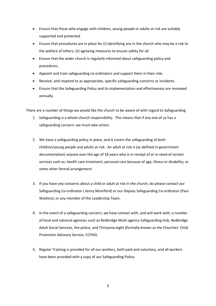- Ensure that those who engage with children, young people or adults at risk are suitably supported and protected.
- Ensure that procedures are in place for (i) identifying any in the church who may be a risk to the welfare of others; (ii) agreeing measures to ensure safety for all.
- Ensure that the wider church is regularly informed about safeguarding policy and procedures.
- Appoint and train safeguarding co-ordinators and support them in their role.
- Receive, and respond to as appropriate, specific safeguarding concerns or incidents.
- Ensure that the Safeguarding Policy and its implementation and effectiveness are reviewed annually.

There are a number of things we would like the church to be aware of with regard to Safeguarding:

- 1. Safeguarding is a whole-church responsibility. This means that if any one of us has a safeguarding concern, we must take action.
- 2. We have a safeguarding policy in place, and it covers the safeguarding of both children/young people and adults at risk. An adult at risk is (as defined in government documentation) anyone over the age of 18 years who is in receipt of or in need of certain services such as: health care treatment; personal care because of age, illness or disability; or some other formal arrangement.
- 3. If you have any concerns about a child or adult at risk in the church, do please contact our Safeguarding Co-ordinator ( Jenny Mumford) or our Deputy Safeguarding Co-ordinator (Paul Watkins), or any member of the Leadership Team.
- 4. In the event of a safeguarding concern, we have contact with, and will work with, a number of local and national agencies such as Redbridge Multi-agency Safeguarding Hub, Redbridge Adult Social Services, the police, and Thirtyone:eight (formally known as the Churches' Child Protection Advisory Service, CCPAS)
- 5. Regular Training is provided for all our workers, both paid and voluntary, and all workers have been provided with a copy of our Safeguarding Policy.